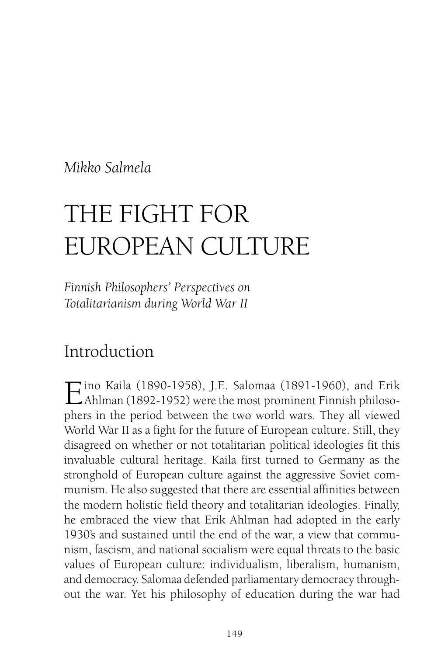*Mikko Salmela*

# THE FIGHT FOR EUROPEAN CULTURE

*Finnish Philosophers' Perspectives on Totalitarianism during World War II*

# Introduction

Eino Kaila (1890-1958), J.E. Salomaa (1891-1960), and Erik Ahlman (1892-1952) were the most prominent Finnish philosophers in the period between the two world wars. They all viewed World War II as a fight for the future of European culture. Still, they disagreed on whether or not totalitarian political ideologies fit this invaluable cultural heritage. Kaila first turned to Germany as the stronghold of European culture against the aggressive Soviet communism. He also suggested that there are essential affinities between the modern holistic field theory and totalitarian ideologies. Finally, he embraced the view that Erik Ahlman had adopted in the early 1930's and sustained until the end of the war, a view that communism, fascism, and national socialism were equal threats to the basic values of European culture: individualism, liberalism, humanism, and democracy. Salomaa defended parliamentary democracy throughout the war. Yet his philosophy of education during the war had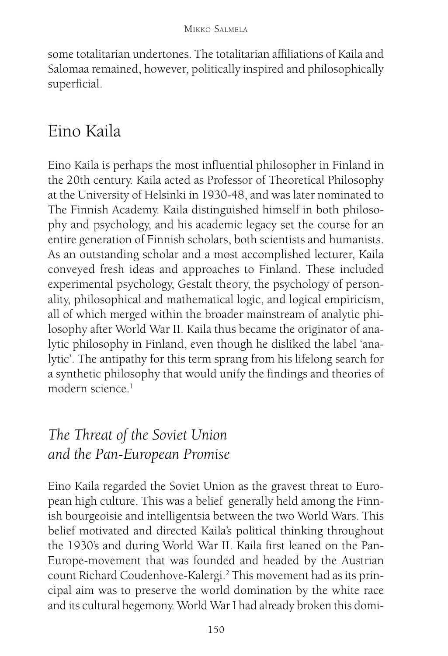some totalitarian undertones. The totalitarian affiliations of Kaila and Salomaa remained, however, politically inspired and philosophically superficial.

# Eino Kaila

Eino Kaila is perhaps the most influential philosopher in Finland in the 20th century. Kaila acted as Professor of Theoretical Philosophy at the University of Helsinki in 1930-48, and was later nominated to The Finnish Academy. Kaila distinguished himself in both philosophy and psychology, and his academic legacy set the course for an entire generation of Finnish scholars, both scientists and humanists. As an outstanding scholar and a most accomplished lecturer, Kaila conveyed fresh ideas and approaches to Finland. These included experimental psychology, Gestalt theory, the psychology of personality, philosophical and mathematical logic, and logical empiricism, all of which merged within the broader mainstream of analytic philosophy after World War II. Kaila thus became the originator of analytic philosophy in Finland, even though he disliked the label 'analytic'. The antipathy for this term sprang from his lifelong search for a synthetic philosophy that would unify the findings and theories of modern science<sup>1</sup>

# *The Threat of the Soviet Union and the Pan-European Promise*

Eino Kaila regarded the Soviet Union as the gravest threat to European high culture. This was a belief generally held among the Finnish bourgeoisie and intelligentsia between the two World Wars. This belief motivated and directed Kaila's political thinking throughout the 1930's and during World War II. Kaila first leaned on the Pan-Europe-movement that was founded and headed by the Austrian count Richard Coudenhove-Kalergi.<sup>2</sup> This movement had as its principal aim was to preserve the world domination by the white race and its cultural hegemony. World War I had already broken this domi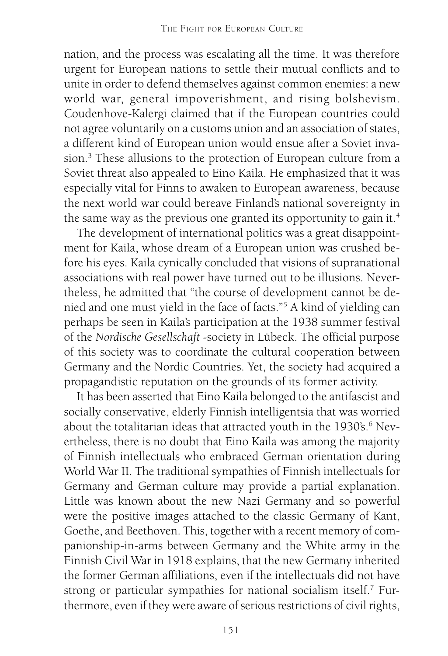nation, and the process was escalating all the time. It was therefore urgent for European nations to settle their mutual conflicts and to unite in order to defend themselves against common enemies: a new world war, general impoverishment, and rising bolshevism. Coudenhove-Kalergi claimed that if the European countries could not agree voluntarily on a customs union and an association of states, a different kind of European union would ensue after a Soviet invasion.3 These allusions to the protection of European culture from a Soviet threat also appealed to Eino Kaila. He emphasized that it was especially vital for Finns to awaken to European awareness, because the next world war could bereave Finland's national sovereignty in the same way as the previous one granted its opportunity to gain it.<sup>4</sup>

The development of international politics was a great disappointment for Kaila, whose dream of a European union was crushed before his eyes. Kaila cynically concluded that visions of supranational associations with real power have turned out to be illusions. Nevertheless, he admitted that "the course of development cannot be denied and one must yield in the face of facts."5 A kind of yielding can perhaps be seen in Kaila's participation at the 1938 summer festival of the *Nordische Gesellschaft* -society in Lübeck. The official purpose of this society was to coordinate the cultural cooperation between Germany and the Nordic Countries. Yet, the society had acquired a propagandistic reputation on the grounds of its former activity.

It has been asserted that Eino Kaila belonged to the antifascist and socially conservative, elderly Finnish intelligentsia that was worried about the totalitarian ideas that attracted youth in the  $1930\rm ^{\circ}\rm s$ . $^{6}$  Nevertheless, there is no doubt that Eino Kaila was among the majority of Finnish intellectuals who embraced German orientation during World War II. The traditional sympathies of Finnish intellectuals for Germany and German culture may provide a partial explanation. Little was known about the new Nazi Germany and so powerful were the positive images attached to the classic Germany of Kant, Goethe, and Beethoven. This, together with a recent memory of companionship-in-arms between Germany and the White army in the Finnish Civil War in 1918 explains, that the new Germany inherited the former German affiliations, even if the intellectuals did not have strong or particular sympathies for national socialism itself.<sup>7</sup> Furthermore, even if they were aware of serious restrictions of civil rights,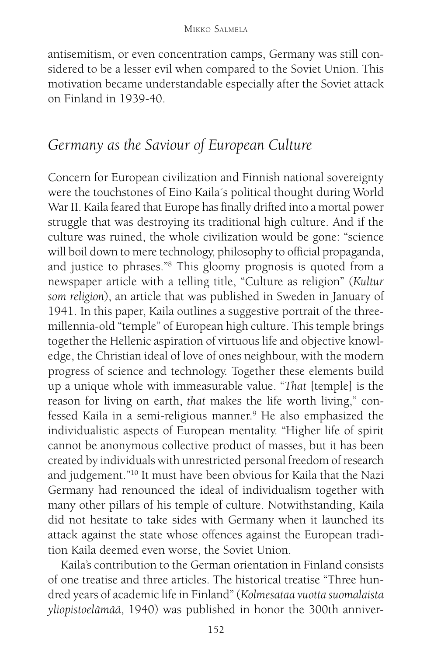antisemitism, or even concentration camps, Germany was still considered to be a lesser evil when compared to the Soviet Union. This motivation became understandable especially after the Soviet attack on Finland in 1939-40.

## *Germany as the Saviour of European Culture*

Concern for European civilization and Finnish national sovereignty were the touchstones of Eino Kaila´s political thought during World War II. Kaila feared that Europe has finally drifted into a mortal power struggle that was destroying its traditional high culture. And if the culture was ruined, the whole civilization would be gone: "science will boil down to mere technology, philosophy to official propaganda, and justice to phrases."8 This gloomy prognosis is quoted from a newspaper article with a telling title, "Culture as religion" (*Kultur som religion*), an article that was published in Sweden in January of 1941. In this paper, Kaila outlines a suggestive portrait of the threemillennia-old "temple" of European high culture. This temple brings together the Hellenic aspiration of virtuous life and objective knowledge, the Christian ideal of love of ones neighbour, with the modern progress of science and technology. Together these elements build up a unique whole with immeasurable value. "*That* [temple] is the reason for living on earth, *that* makes the life worth living," confessed Kaila in a semi-religious manner.9 He also emphasized the individualistic aspects of European mentality. "Higher life of spirit cannot be anonymous collective product of masses, but it has been created by individuals with unrestricted personal freedom of research and judgement."10 It must have been obvious for Kaila that the Nazi Germany had renounced the ideal of individualism together with many other pillars of his temple of culture. Notwithstanding, Kaila did not hesitate to take sides with Germany when it launched its attack against the state whose offences against the European tradition Kaila deemed even worse, the Soviet Union.

Kaila's contribution to the German orientation in Finland consists of one treatise and three articles. The historical treatise "Three hundred years of academic life in Finland" (*Kolmesataa vuotta suomalaista yliopistoelämää*, 1940) was published in honor the 300th anniver-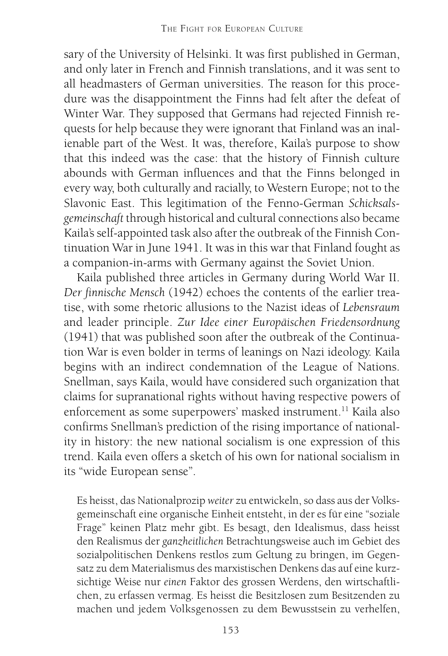sary of the University of Helsinki. It was first published in German, and only later in French and Finnish translations, and it was sent to all headmasters of German universities. The reason for this procedure was the disappointment the Finns had felt after the defeat of Winter War. They supposed that Germans had rejected Finnish requests for help because they were ignorant that Finland was an inalienable part of the West. It was, therefore, Kaila's purpose to show that this indeed was the case: that the history of Finnish culture abounds with German influences and that the Finns belonged in every way, both culturally and racially, to Western Europe; not to the Slavonic East. This legitimation of the Fenno-German *Schicksalsgemeinschaft* through historical and cultural connections also became Kaila's self-appointed task also after the outbreak of the Finnish Continuation War in June 1941. It was in this war that Finland fought as a companion-in-arms with Germany against the Soviet Union.

Kaila published three articles in Germany during World War II. *Der finnische Mensch* (1942) echoes the contents of the earlier treatise, with some rhetoric allusions to the Nazist ideas of *Lebensraum* and leader principle. *Zur Idee einer Europäischen Friedensordnung* (1941) that was published soon after the outbreak of the Continuation War is even bolder in terms of leanings on Nazi ideology. Kaila begins with an indirect condemnation of the League of Nations. Snellman, says Kaila, would have considered such organization that claims for supranational rights without having respective powers of enforcement as some superpowers' masked instrument.<sup>11</sup> Kaila also confirms Snellman's prediction of the rising importance of nationality in history: the new national socialism is one expression of this trend. Kaila even offers a sketch of his own for national socialism in its "wide European sense".

Es heisst, das Nationalprozip *weiter* zu entwickeln, so dass aus der Volksgemeinschaft eine organische Einheit entsteht, in der es für eine "soziale Frage" keinen Platz mehr gibt. Es besagt, den Idealismus, dass heisst den Realismus der *ganzheitlichen* Betrachtungsweise auch im Gebiet des sozialpolitischen Denkens restlos zum Geltung zu bringen, im Gegensatz zu dem Materialismus des marxistischen Denkens das auf eine kurzsichtige Weise nur *einen* Faktor des grossen Werdens, den wirtschaftlichen, zu erfassen vermag. Es heisst die Besitzlosen zum Besitzenden zu machen und jedem Volksgenossen zu dem Bewusstsein zu verhelfen,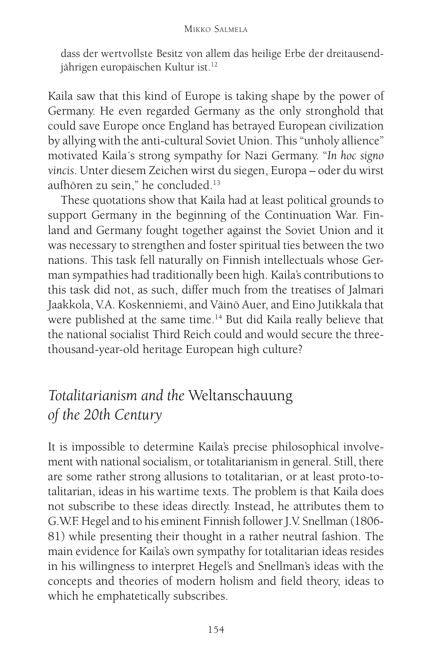dass der wertvollste Besitz von allem das heilige Erbe der dreitausendjährigen europäischen Kultur ist.<sup>12</sup>

Kaila saw that this kind of Europe is taking shape by the power of Germany. He even regarded Germany as the only stronghold that could save Europe once England has betrayed European civilization by allying with the anti-cultural Soviet Union. This "unholy allience" motivated Kaila´s strong sympathy for Nazi Germany. "*In hoc signo vincis*. Unter diesem Zeichen wirst du siegen, Europa – oder du wirst aufhören zu sein," he concluded.13

These quotations show that Kaila had at least political grounds to support Germany in the beginning of the Continuation War. Finland and Germany fought together against the Soviet Union and it was necessary to strengthen and foster spiritual ties between the two nations. This task fell naturally on Finnish intellectuals whose German sympathies had traditionally been high. Kaila's contributions to this task did not, as such, differ much from the treatises of Jalmari Jaakkola, V.A. Koskenniemi, and Väinö Auer, and Eino Jutikkala that were published at the same time.<sup>14</sup> But did Kaila really believe that the national socialist Third Reich could and would secure the threethousand-year-old heritage European high culture?

# *Totalitarianism and the* Weltanschauung *of the 20th Century*

It is impossible to determine Kaila's precise philosophical involvement with national socialism, or totalitarianism in general. Still, there are some rather strong allusions to totalitarian, or at least proto-totalitarian, ideas in his wartime texts. The problem is that Kaila does not subscribe to these ideas directly. Instead, he attributes them to G.W.F. Hegel and to his eminent Finnish follower J.V. Snellman (1806- 81) while presenting their thought in a rather neutral fashion. The main evidence for Kaila's own sympathy for totalitarian ideas resides in his willingness to interpret Hegel's and Snellman's ideas with the concepts and theories of modern holism and field theory, ideas to which he emphatetically subscribes.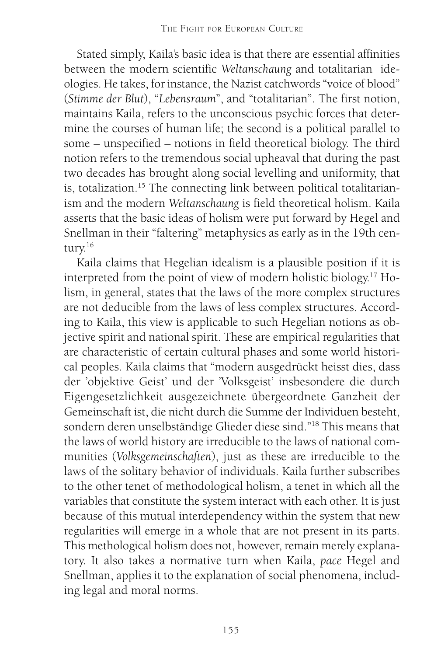Stated simply, Kaila's basic idea is that there are essential affinities between the modern scientific *Weltanschaung* and totalitarian ideologies. He takes, for instance, the Nazist catchwords "voice of blood" (*Stimme der Blut*), "*Lebensraum*", and "totalitarian". The first notion, maintains Kaila, refers to the unconscious psychic forces that determine the courses of human life; the second is a political parallel to some – unspecified – notions in field theoretical biology. The third notion refers to the tremendous social upheaval that during the past two decades has brought along social levelling and uniformity, that is, totalization.<sup>15</sup> The connecting link between political totalitarianism and the modern *Weltanschaung* is field theoretical holism. Kaila asserts that the basic ideas of holism were put forward by Hegel and Snellman in their "faltering" metaphysics as early as in the 19th century.<sup>16</sup>

Kaila claims that Hegelian idealism is a plausible position if it is interpreted from the point of view of modern holistic biology.17 Holism, in general, states that the laws of the more complex structures are not deducible from the laws of less complex structures. According to Kaila, this view is applicable to such Hegelian notions as objective spirit and national spirit. These are empirical regularities that are characteristic of certain cultural phases and some world historical peoples. Kaila claims that "modern ausgedrückt heisst dies, dass der 'objektive Geist' und der 'Volksgeist' insbesondere die durch Eigengesetzlichkeit ausgezeichnete übergeordnete Ganzheit der Gemeinschaft ist, die nicht durch die Summe der Individuen besteht, sondern deren unselbständige Glieder diese sind."18 This means that the laws of world history are irreducible to the laws of national communities (*Volksgemeinschaften*), just as these are irreducible to the laws of the solitary behavior of individuals. Kaila further subscribes to the other tenet of methodological holism, a tenet in which all the variables that constitute the system interact with each other. It is just because of this mutual interdependency within the system that new regularities will emerge in a whole that are not present in its parts. This methological holism does not, however, remain merely explanatory. It also takes a normative turn when Kaila, *pace* Hegel and Snellman, applies it to the explanation of social phenomena, including legal and moral norms.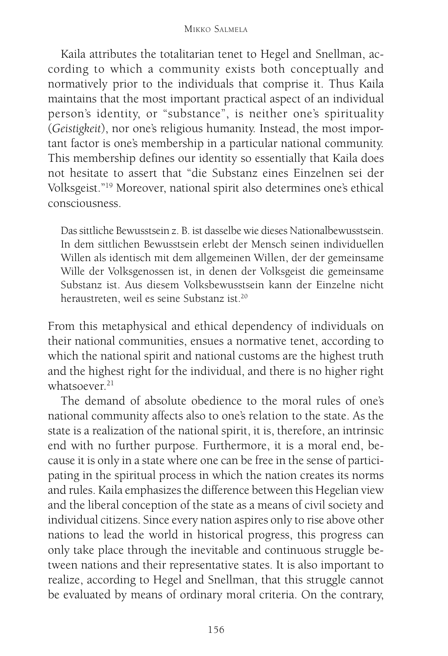Kaila attributes the totalitarian tenet to Hegel and Snellman, according to which a community exists both conceptually and normatively prior to the individuals that comprise it. Thus Kaila maintains that the most important practical aspect of an individual person's identity, or "substance", is neither one's spirituality (*Geistigkeit*), nor one's religious humanity. Instead, the most important factor is one's membership in a particular national community. This membership defines our identity so essentially that Kaila does not hesitate to assert that "die Substanz eines Einzelnen sei der Volksgeist."19 Moreover, national spirit also determines one's ethical consciousness.

Das sittliche Bewusstsein z. B. ist dasselbe wie dieses Nationalbewusstsein. In dem sittlichen Bewusstsein erlebt der Mensch seinen individuellen Willen als identisch mit dem allgemeinen Willen, der der gemeinsame Wille der Volksgenossen ist, in denen der Volksgeist die gemeinsame Substanz ist. Aus diesem Volksbewusstsein kann der Einzelne nicht heraustreten, weil es seine Substanz ist.20

From this metaphysical and ethical dependency of individuals on their national communities, ensues a normative tenet, according to which the national spirit and national customs are the highest truth and the highest right for the individual, and there is no higher right whatsoever.<sup>21</sup>

The demand of absolute obedience to the moral rules of one's national community affects also to one's relation to the state. As the state is a realization of the national spirit, it is, therefore, an intrinsic end with no further purpose. Furthermore, it is a moral end, because it is only in a state where one can be free in the sense of participating in the spiritual process in which the nation creates its norms and rules. Kaila emphasizes the difference between this Hegelian view and the liberal conception of the state as a means of civil society and individual citizens. Since every nation aspires only to rise above other nations to lead the world in historical progress, this progress can only take place through the inevitable and continuous struggle between nations and their representative states. It is also important to realize, according to Hegel and Snellman, that this struggle cannot be evaluated by means of ordinary moral criteria. On the contrary,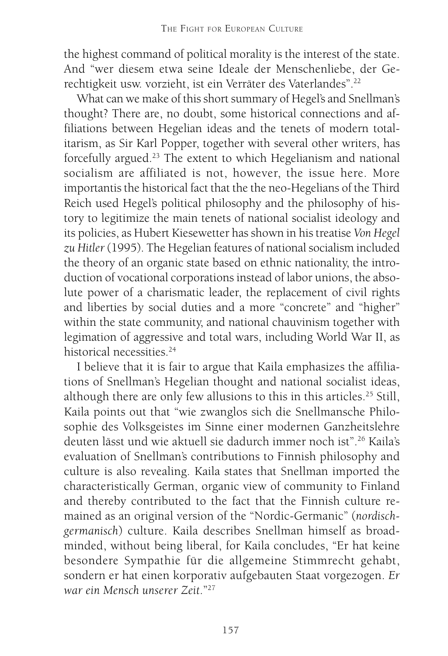the highest command of political morality is the interest of the state. And "wer diesem etwa seine Ideale der Menschenliebe, der Gerechtigkeit usw. vorzieht, ist ein Verräter des Vaterlandes".22

What can we make of this short summary of Hegel's and Snellman's thought? There are, no doubt, some historical connections and affiliations between Hegelian ideas and the tenets of modern totalitarism, as Sir Karl Popper, together with several other writers, has forcefully argued.23 The extent to which Hegelianism and national socialism are affiliated is not, however, the issue here. More importantis the historical fact that the the neo-Hegelians of the Third Reich used Hegel's political philosophy and the philosophy of history to legitimize the main tenets of national socialist ideology and its policies, as Hubert Kiesewetter has shown in his treatise *Von Hegel zu Hitler* (1995). The Hegelian features of national socialism included the theory of an organic state based on ethnic nationality, the introduction of vocational corporations instead of labor unions, the absolute power of a charismatic leader, the replacement of civil rights and liberties by social duties and a more "concrete" and "higher" within the state community, and national chauvinism together with legimation of aggressive and total wars, including World War II, as historical necessities<sup>24</sup>

I believe that it is fair to argue that Kaila emphasizes the affiliations of Snellman's Hegelian thought and national socialist ideas, although there are only few allusions to this in this articles.25 Still, Kaila points out that "wie zwanglos sich die Snellmansche Philosophie des Volksgeistes im Sinne einer modernen Ganzheitslehre deuten lässt und wie aktuell sie dadurch immer noch ist".26 Kaila's evaluation of Snellman's contributions to Finnish philosophy and culture is also revealing. Kaila states that Snellman imported the characteristically German, organic view of community to Finland and thereby contributed to the fact that the Finnish culture remained as an original version of the "Nordic-Germanic" (*nordischgermanisch*) culture. Kaila describes Snellman himself as broadminded, without being liberal, for Kaila concludes, "Er hat keine besondere Sympathie für die allgemeine Stimmrecht gehabt, sondern er hat einen korporativ aufgebauten Staat vorgezogen. *Er war ein Mensch unserer Zeit*."27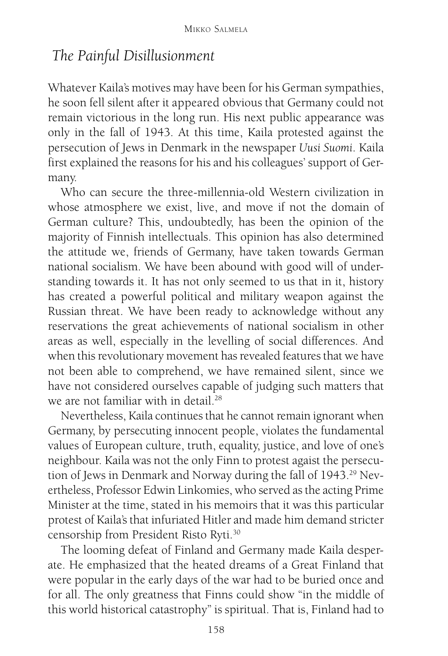#### *The Painful Disillusionment*

Whatever Kaila's motives may have been for his German sympathies, he soon fell silent after it appeared obvious that Germany could not remain victorious in the long run. His next public appearance was only in the fall of 1943. At this time, Kaila protested against the persecution of Jews in Denmark in the newspaper *Uusi Suomi*. Kaila first explained the reasons for his and his colleagues' support of Germany.

Who can secure the three-millennia-old Western civilization in whose atmosphere we exist, live, and move if not the domain of German culture? This, undoubtedly, has been the opinion of the majority of Finnish intellectuals. This opinion has also determined the attitude we, friends of Germany, have taken towards German national socialism. We have been abound with good will of understanding towards it. It has not only seemed to us that in it, history has created a powerful political and military weapon against the Russian threat. We have been ready to acknowledge without any reservations the great achievements of national socialism in other areas as well, especially in the levelling of social differences. And when this revolutionary movement has revealed features that we have not been able to comprehend, we have remained silent, since we have not considered ourselves capable of judging such matters that we are not familiar with in detail<sup>28</sup>

Nevertheless, Kaila continues that he cannot remain ignorant when Germany, by persecuting innocent people, violates the fundamental values of European culture, truth, equality, justice, and love of one's neighbour. Kaila was not the only Finn to protest agaist the persecution of Jews in Denmark and Norway during the fall of 1943.<sup>29</sup> Nevertheless, Professor Edwin Linkomies, who served as the acting Prime Minister at the time, stated in his memoirs that it was this particular protest of Kaila's that infuriated Hitler and made him demand stricter censorship from President Risto Ryti.30

The looming defeat of Finland and Germany made Kaila desperate. He emphasized that the heated dreams of a Great Finland that were popular in the early days of the war had to be buried once and for all. The only greatness that Finns could show "in the middle of this world historical catastrophy" is spiritual. That is, Finland had to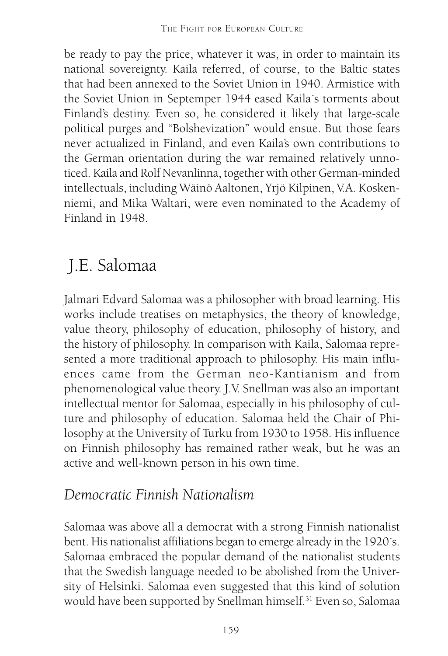be ready to pay the price, whatever it was, in order to maintain its national sovereignty. Kaila referred, of course, to the Baltic states that had been annexed to the Soviet Union in 1940. Armistice with the Soviet Union in Septemper 1944 eased Kaila´s torments about Finland's destiny. Even so, he considered it likely that large-scale political purges and "Bolshevization" would ensue. But those fears never actualized in Finland, and even Kaila's own contributions to the German orientation during the war remained relatively unnoticed. Kaila and Rolf Nevanlinna, together with other German-minded intellectuals, including Wäinö Aaltonen, Yrjö Kilpinen, V.A. Koskenniemi, and Mika Waltari, were even nominated to the Academy of Finland in 1948.

# J.E. Salomaa

Jalmari Edvard Salomaa was a philosopher with broad learning. His works include treatises on metaphysics, the theory of knowledge, value theory, philosophy of education, philosophy of history, and the history of philosophy. In comparison with Kaila, Salomaa represented a more traditional approach to philosophy. His main influences came from the German neo-Kantianism and from phenomenological value theory. J.V. Snellman was also an important intellectual mentor for Salomaa, especially in his philosophy of culture and philosophy of education. Salomaa held the Chair of Philosophy at the University of Turku from 1930 to 1958. His influence on Finnish philosophy has remained rather weak, but he was an active and well-known person in his own time.

## *Democratic Finnish Nationalism*

Salomaa was above all a democrat with a strong Finnish nationalist bent. His nationalist affiliations began to emerge already in the 1920´s. Salomaa embraced the popular demand of the nationalist students that the Swedish language needed to be abolished from the University of Helsinki. Salomaa even suggested that this kind of solution would have been supported by Snellman himself.<sup>31</sup> Even so, Salomaa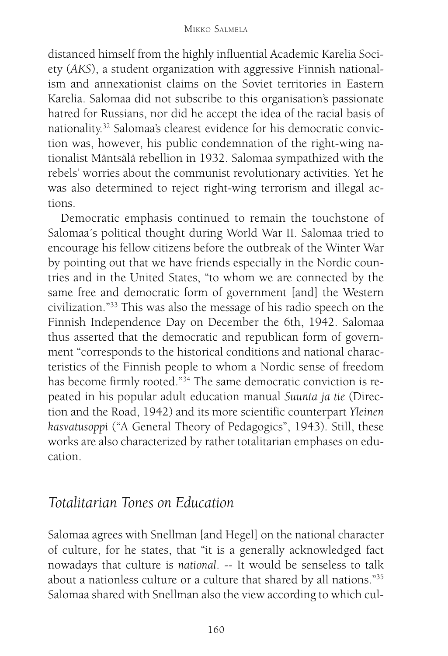#### MIKKO SALMELA

distanced himself from the highly influential Academic Karelia Society (*AKS*), a student organization with aggressive Finnish nationalism and annexationist claims on the Soviet territories in Eastern Karelia. Salomaa did not subscribe to this organisation's passionate hatred for Russians, nor did he accept the idea of the racial basis of nationality.32 Salomaa's clearest evidence for his democratic conviction was, however, his public condemnation of the right-wing nationalist Mäntsälä rebellion in 1932. Salomaa sympathized with the rebels' worries about the communist revolutionary activities. Yet he was also determined to reject right-wing terrorism and illegal actions.

Democratic emphasis continued to remain the touchstone of Salomaa´s political thought during World War II. Salomaa tried to encourage his fellow citizens before the outbreak of the Winter War by pointing out that we have friends especially in the Nordic countries and in the United States, "to whom we are connected by the same free and democratic form of government [and] the Western civilization."33 This was also the message of his radio speech on the Finnish Independence Day on December the 6th, 1942. Salomaa thus asserted that the democratic and republican form of government "corresponds to the historical conditions and national characteristics of the Finnish people to whom a Nordic sense of freedom has become firmly rooted."34 The same democratic conviction is repeated in his popular adult education manual *Suunta ja tie* (Direction and the Road, 1942) and its more scientific counterpart *Yleinen kasvatusoppi* ("A General Theory of Pedagogics", 1943). Still, these works are also characterized by rather totalitarian emphases on education.

#### *Totalitarian Tones on Education*

Salomaa agrees with Snellman [and Hegel] on the national character of culture, for he states, that "it is a generally acknowledged fact nowadays that culture is *national*. -- It would be senseless to talk about a nationless culture or a culture that shared by all nations."35 Salomaa shared with Snellman also the view according to which cul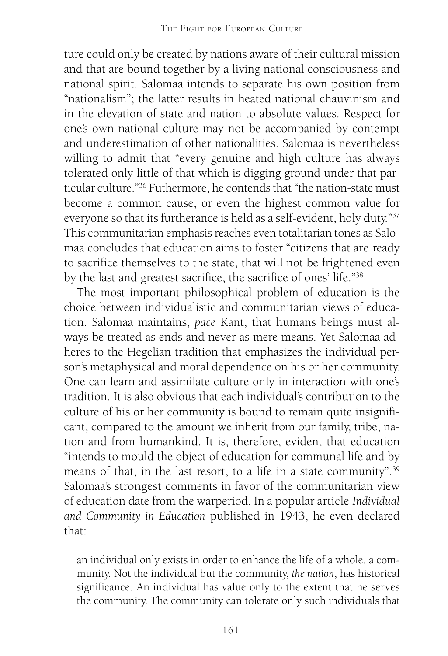ture could only be created by nations aware of their cultural mission and that are bound together by a living national consciousness and national spirit. Salomaa intends to separate his own position from "nationalism"; the latter results in heated national chauvinism and in the elevation of state and nation to absolute values. Respect for one's own national culture may not be accompanied by contempt and underestimation of other nationalities. Salomaa is nevertheless willing to admit that "every genuine and high culture has always tolerated only little of that which is digging ground under that particular culture."36 Futhermore, he contends that "the nation-state must become a common cause, or even the highest common value for everyone so that its furtherance is held as a self-evident, holy duty."37 This communitarian emphasis reaches even totalitarian tones as Salomaa concludes that education aims to foster "citizens that are ready to sacrifice themselves to the state, that will not be frightened even by the last and greatest sacrifice, the sacrifice of ones' life."38

The most important philosophical problem of education is the choice between individualistic and communitarian views of education. Salomaa maintains, *pace* Kant, that humans beings must always be treated as ends and never as mere means. Yet Salomaa adheres to the Hegelian tradition that emphasizes the individual person's metaphysical and moral dependence on his or her community. One can learn and assimilate culture only in interaction with one's tradition. It is also obvious that each individual's contribution to the culture of his or her community is bound to remain quite insignificant, compared to the amount we inherit from our family, tribe, nation and from humankind. It is, therefore, evident that education "intends to mould the object of education for communal life and by means of that, in the last resort, to a life in a state community".<sup>39</sup> Salomaa's strongest comments in favor of the communitarian view of education date from the warperiod. In a popular article *Individual and Community in Education* published in 1943, he even declared that:

an individual only exists in order to enhance the life of a whole, a community. Not the individual but the community, *the nation*, has historical significance. An individual has value only to the extent that he serves the community. The community can tolerate only such individuals that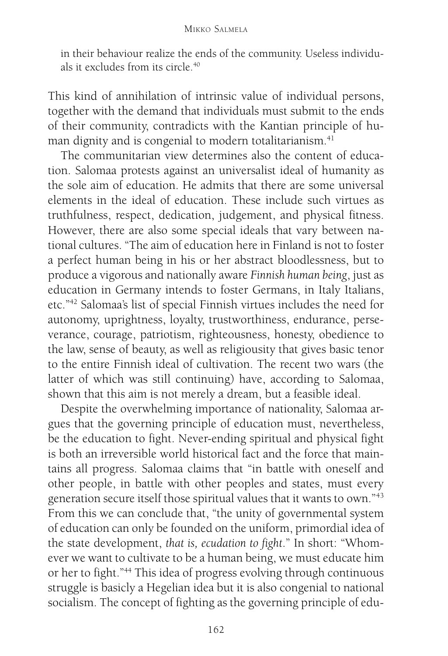in their behaviour realize the ends of the community. Useless individuals it excludes from its circle.<sup>40</sup>

This kind of annihilation of intrinsic value of individual persons, together with the demand that individuals must submit to the ends of their community, contradicts with the Kantian principle of human dignity and is congenial to modern totalitarianism.<sup>41</sup>

The communitarian view determines also the content of education. Salomaa protests against an universalist ideal of humanity as the sole aim of education. He admits that there are some universal elements in the ideal of education. These include such virtues as truthfulness, respect, dedication, judgement, and physical fitness. However, there are also some special ideals that vary between national cultures. "The aim of education here in Finland is not to foster a perfect human being in his or her abstract bloodlessness, but to produce a vigorous and nationally aware *Finnish human being*, just as education in Germany intends to foster Germans, in Italy Italians, etc."42 Salomaa's list of special Finnish virtues includes the need for autonomy, uprightness, loyalty, trustworthiness, endurance, perseverance, courage, patriotism, righteousness, honesty, obedience to the law, sense of beauty, as well as religiousity that gives basic tenor to the entire Finnish ideal of cultivation. The recent two wars (the latter of which was still continuing) have, according to Salomaa, shown that this aim is not merely a dream, but a feasible ideal.

Despite the overwhelming importance of nationality, Salomaa argues that the governing principle of education must, nevertheless, be the education to fight. Never-ending spiritual and physical fight is both an irreversible world historical fact and the force that maintains all progress. Salomaa claims that "in battle with oneself and other people, in battle with other peoples and states, must every generation secure itself those spiritual values that it wants to own."43 From this we can conclude that, "the unity of governmental system of education can only be founded on the uniform, primordial idea of the state development, *that is, ecudation to fight*." In short: "Whomever we want to cultivate to be a human being, we must educate him or her to fight."44 This idea of progress evolving through continuous struggle is basicly a Hegelian idea but it is also congenial to national socialism. The concept of fighting as the governing principle of edu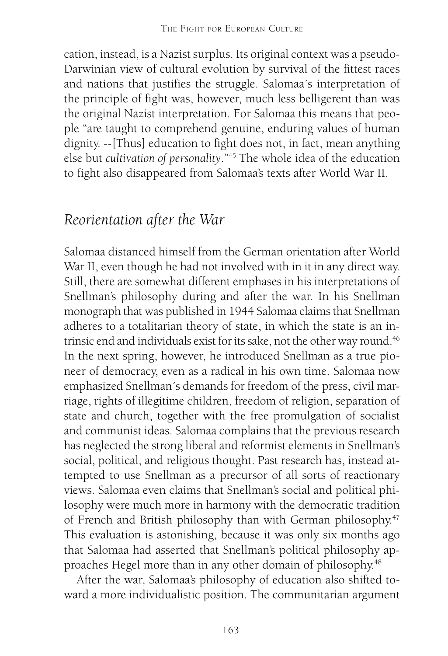cation, instead, is a Nazist surplus. Its original context was a pseudo-Darwinian view of cultural evolution by survival of the fittest races and nations that justifies the struggle. Salomaa´s interpretation of the principle of fight was, however, much less belligerent than was the original Nazist interpretation. For Salomaa this means that people "are taught to comprehend genuine, enduring values of human dignity. --[Thus] education to fight does not, in fact, mean anything else but *cultivation of personality*."45 The whole idea of the education to fight also disappeared from Salomaa's texts after World War II.

### *Reorientation after the War*

Salomaa distanced himself from the German orientation after World War II, even though he had not involved with in it in any direct way. Still, there are somewhat different emphases in his interpretations of Snellman's philosophy during and after the war. In his Snellman monograph that was published in 1944 Salomaa claims that Snellman adheres to a totalitarian theory of state, in which the state is an intrinsic end and individuals exist for its sake, not the other way round.<sup>46</sup> In the next spring, however, he introduced Snellman as a true pioneer of democracy, even as a radical in his own time. Salomaa now emphasized Snellman´s demands for freedom of the press, civil marriage, rights of illegitime children, freedom of religion, separation of state and church, together with the free promulgation of socialist and communist ideas. Salomaa complains that the previous research has neglected the strong liberal and reformist elements in Snellman's social, political, and religious thought. Past research has, instead attempted to use Snellman as a precursor of all sorts of reactionary views. Salomaa even claims that Snellman's social and political philosophy were much more in harmony with the democratic tradition of French and British philosophy than with German philosophy.47 This evaluation is astonishing, because it was only six months ago that Salomaa had asserted that Snellman's political philosophy approaches Hegel more than in any other domain of philosophy.48

After the war, Salomaa's philosophy of education also shifted toward a more individualistic position. The communitarian argument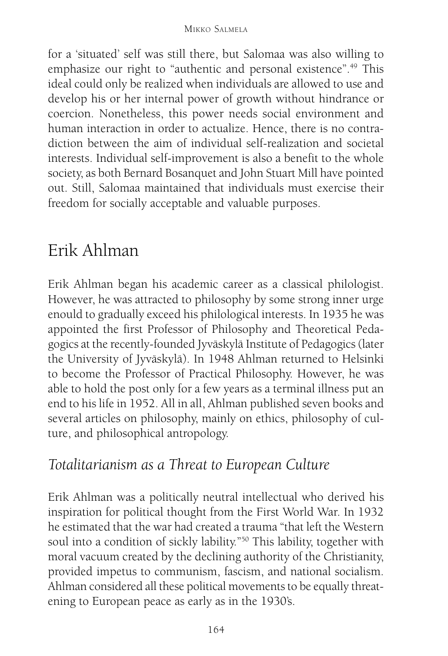for a 'situated' self was still there, but Salomaa was also willing to emphasize our right to "authentic and personal existence".<sup>49</sup> This ideal could only be realized when individuals are allowed to use and develop his or her internal power of growth without hindrance or coercion. Nonetheless, this power needs social environment and human interaction in order to actualize. Hence, there is no contradiction between the aim of individual self-realization and societal interests. Individual self-improvement is also a benefit to the whole society, as both Bernard Bosanquet and John Stuart Mill have pointed out. Still, Salomaa maintained that individuals must exercise their freedom for socially acceptable and valuable purposes.

# Erik Ahlman

Erik Ahlman began his academic career as a classical philologist. However, he was attracted to philosophy by some strong inner urge enould to gradually exceed his philological interests. In 1935 he was appointed the first Professor of Philosophy and Theoretical Pedagogics at the recently-founded Jyväskylä Institute of Pedagogics (later the University of Jyväskylä). In 1948 Ahlman returned to Helsinki to become the Professor of Practical Philosophy. However, he was able to hold the post only for a few years as a terminal illness put an end to his life in 1952. All in all, Ahlman published seven books and several articles on philosophy, mainly on ethics, philosophy of culture, and philosophical antropology.

# *Totalitarianism as a Threat to European Culture*

Erik Ahlman was a politically neutral intellectual who derived his inspiration for political thought from the First World War. In 1932 he estimated that the war had created a trauma "that left the Western soul into a condition of sickly lability."50 This lability, together with moral vacuum created by the declining authority of the Christianity, provided impetus to communism, fascism, and national socialism. Ahlman considered all these political movements to be equally threatening to European peace as early as in the 1930's.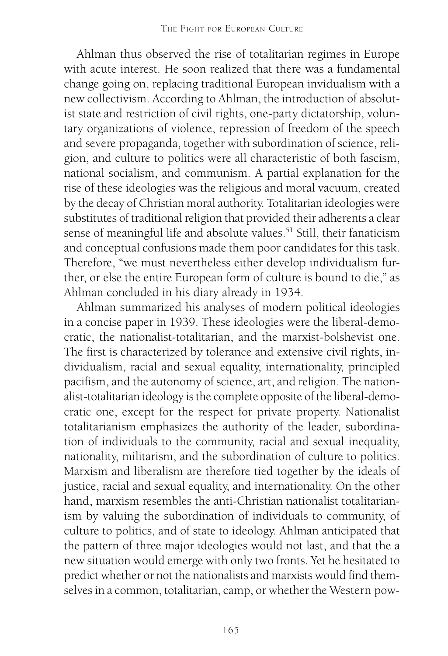Ahlman thus observed the rise of totalitarian regimes in Europe with acute interest. He soon realized that there was a fundamental change going on, replacing traditional European invidualism with a new collectivism. According to Ahlman, the introduction of absolutist state and restriction of civil rights, one-party dictatorship, voluntary organizations of violence, repression of freedom of the speech and severe propaganda, together with subordination of science, religion, and culture to politics were all characteristic of both fascism, national socialism, and communism. A partial explanation for the rise of these ideologies was the religious and moral vacuum, created by the decay of Christian moral authority. Totalitarian ideologies were substitutes of traditional religion that provided their adherents a clear sense of meaningful life and absolute values.<sup>51</sup> Still, their fanaticism and conceptual confusions made them poor candidates for this task. Therefore, "we must nevertheless either develop individualism further, or else the entire European form of culture is bound to die," as Ahlman concluded in his diary already in 1934.

Ahlman summarized his analyses of modern political ideologies in a concise paper in 1939. These ideologies were the liberal-democratic, the nationalist-totalitarian, and the marxist-bolshevist one. The first is characterized by tolerance and extensive civil rights, individualism, racial and sexual equality, internationality, principled pacifism, and the autonomy of science, art, and religion. The nationalist-totalitarian ideology is the complete opposite of the liberal-democratic one, except for the respect for private property. Nationalist totalitarianism emphasizes the authority of the leader, subordination of individuals to the community, racial and sexual inequality, nationality, militarism, and the subordination of culture to politics. Marxism and liberalism are therefore tied together by the ideals of justice, racial and sexual equality, and internationality. On the other hand, marxism resembles the anti-Christian nationalist totalitarianism by valuing the subordination of individuals to community, of culture to politics, and of state to ideology. Ahlman anticipated that the pattern of three major ideologies would not last, and that the a new situation would emerge with only two fronts. Yet he hesitated to predict whether or not the nationalists and marxists would find themselves in a common, totalitarian, camp, or whether the Western pow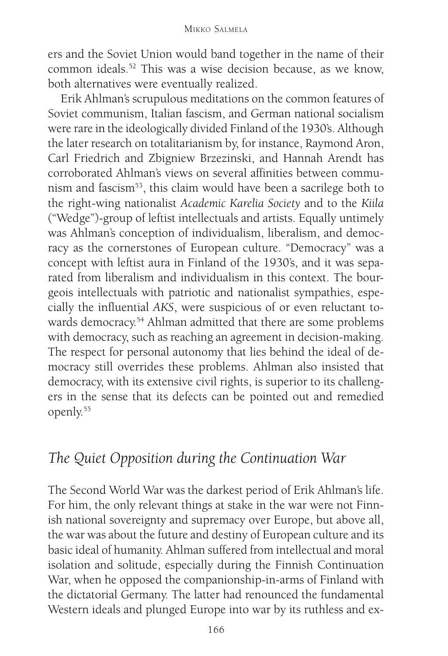ers and the Soviet Union would band together in the name of their common ideals.52 This was a wise decision because, as we know, both alternatives were eventually realized.

Erik Ahlman's scrupulous meditations on the common features of Soviet communism, Italian fascism, and German national socialism were rare in the ideologically divided Finland of the 1930's. Although the later research on totalitarianism by, for instance, Raymond Aron, Carl Friedrich and Zbigniew Brzezinski, and Hannah Arendt has corroborated Ahlman's views on several affinities between communism and fascism<sup>53</sup>, this claim would have been a sacrilege both to the right-wing nationalist *Academic Karelia Society* and to the *Kiila* ("Wedge")-group of leftist intellectuals and artists. Equally untimely was Ahlman's conception of individualism, liberalism, and democracy as the cornerstones of European culture. "Democracy" was a concept with leftist aura in Finland of the 1930's, and it was separated from liberalism and individualism in this context. The bourgeois intellectuals with patriotic and nationalist sympathies, especially the influential *AKS*, were suspicious of or even reluctant towards democracy.<sup>54</sup> Ahlman admitted that there are some problems with democracy, such as reaching an agreement in decision-making. The respect for personal autonomy that lies behind the ideal of democracy still overrides these problems. Ahlman also insisted that democracy, with its extensive civil rights, is superior to its challengers in the sense that its defects can be pointed out and remedied openly.55

## *The Quiet Opposition during the Continuation War*

The Second World War was the darkest period of Erik Ahlman's life. For him, the only relevant things at stake in the war were not Finnish national sovereignty and supremacy over Europe, but above all, the war was about the future and destiny of European culture and its basic ideal of humanity. Ahlman suffered from intellectual and moral isolation and solitude, especially during the Finnish Continuation War, when he opposed the companionship-in-arms of Finland with the dictatorial Germany. The latter had renounced the fundamental Western ideals and plunged Europe into war by its ruthless and ex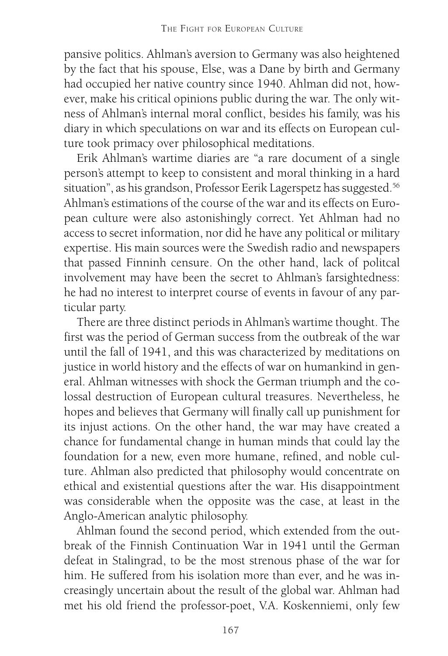pansive politics. Ahlman's aversion to Germany was also heightened by the fact that his spouse, Else, was a Dane by birth and Germany had occupied her native country since 1940. Ahlman did not, however, make his critical opinions public during the war. The only witness of Ahlman's internal moral conflict, besides his family, was his diary in which speculations on war and its effects on European culture took primacy over philosophical meditations.

Erik Ahlman's wartime diaries are "a rare document of a single person's attempt to keep to consistent and moral thinking in a hard situation", as his grandson, Professor Eerik Lagerspetz has suggested.<sup>56</sup> Ahlman's estimations of the course of the war and its effects on European culture were also astonishingly correct. Yet Ahlman had no access to secret information, nor did he have any political or military expertise. His main sources were the Swedish radio and newspapers that passed Finninh censure. On the other hand, lack of politcal involvement may have been the secret to Ahlman's farsightedness: he had no interest to interpret course of events in favour of any particular party.

There are three distinct periods in Ahlman's wartime thought. The first was the period of German success from the outbreak of the war until the fall of 1941, and this was characterized by meditations on justice in world history and the effects of war on humankind in general. Ahlman witnesses with shock the German triumph and the colossal destruction of European cultural treasures. Nevertheless, he hopes and believes that Germany will finally call up punishment for its injust actions. On the other hand, the war may have created a chance for fundamental change in human minds that could lay the foundation for a new, even more humane, refined, and noble culture. Ahlman also predicted that philosophy would concentrate on ethical and existential questions after the war. His disappointment was considerable when the opposite was the case, at least in the Anglo-American analytic philosophy.

Ahlman found the second period, which extended from the outbreak of the Finnish Continuation War in 1941 until the German defeat in Stalingrad, to be the most strenous phase of the war for him. He suffered from his isolation more than ever, and he was increasingly uncertain about the result of the global war. Ahlman had met his old friend the professor-poet, V.A. Koskenniemi, only few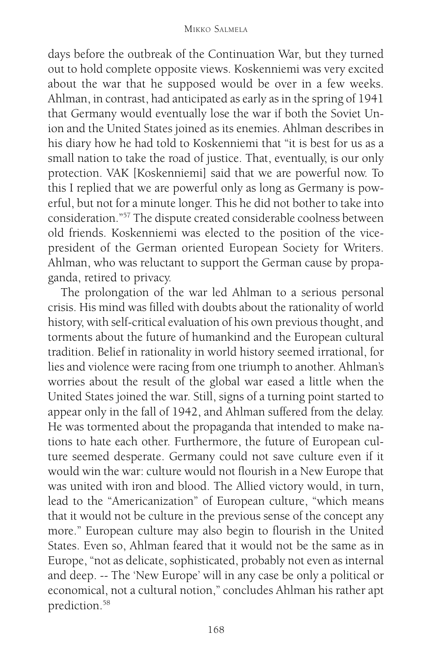#### MIKKO SALMELA

days before the outbreak of the Continuation War, but they turned out to hold complete opposite views. Koskenniemi was very excited about the war that he supposed would be over in a few weeks. Ahlman, in contrast, had anticipated as early as in the spring of 1941 that Germany would eventually lose the war if both the Soviet Union and the United States joined as its enemies. Ahlman describes in his diary how he had told to Koskenniemi that "it is best for us as a small nation to take the road of justice. That, eventually, is our only protection. VAK [Koskenniemi] said that we are powerful now. To this I replied that we are powerful only as long as Germany is powerful, but not for a minute longer. This he did not bother to take into consideration."57 The dispute created considerable coolness between old friends. Koskenniemi was elected to the position of the vicepresident of the German oriented European Society for Writers. Ahlman, who was reluctant to support the German cause by propaganda, retired to privacy.

The prolongation of the war led Ahlman to a serious personal crisis. His mind was filled with doubts about the rationality of world history, with self-critical evaluation of his own previous thought, and torments about the future of humankind and the European cultural tradition. Belief in rationality in world history seemed irrational, for lies and violence were racing from one triumph to another. Ahlman's worries about the result of the global war eased a little when the United States joined the war. Still, signs of a turning point started to appear only in the fall of 1942, and Ahlman suffered from the delay. He was tormented about the propaganda that intended to make nations to hate each other. Furthermore, the future of European culture seemed desperate. Germany could not save culture even if it would win the war: culture would not flourish in a New Europe that was united with iron and blood. The Allied victory would, in turn, lead to the "Americanization" of European culture, "which means that it would not be culture in the previous sense of the concept any more." European culture may also begin to flourish in the United States. Even so, Ahlman feared that it would not be the same as in Europe, "not as delicate, sophisticated, probably not even as internal and deep. -- The 'New Europe' will in any case be only a political or economical, not a cultural notion," concludes Ahlman his rather apt prediction.58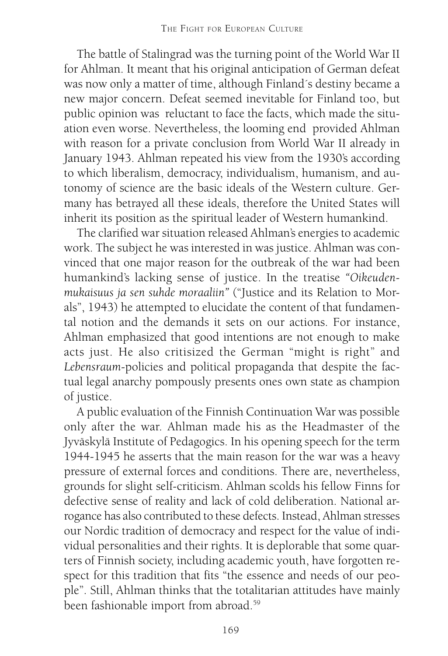The battle of Stalingrad was the turning point of the World War II for Ahlman. It meant that his original anticipation of German defeat was now only a matter of time, although Finland´s destiny became a new major concern. Defeat seemed inevitable for Finland too, but public opinion was reluctant to face the facts, which made the situation even worse. Nevertheless, the looming end provided Ahlman with reason for a private conclusion from World War II already in January 1943. Ahlman repeated his view from the 1930's according to which liberalism, democracy, individualism, humanism, and autonomy of science are the basic ideals of the Western culture. Germany has betrayed all these ideals, therefore the United States will inherit its position as the spiritual leader of Western humankind.

The clarified war situation released Ahlman's energies to academic work. The subject he was interested in was justice. Ahlman was convinced that one major reason for the outbreak of the war had been humankind's lacking sense of justice. In the treatise *"Oikeudenmukaisuus ja sen suhde moraaliin"* ("Justice and its Relation to Morals", 1943) he attempted to elucidate the content of that fundamental notion and the demands it sets on our actions. For instance, Ahlman emphasized that good intentions are not enough to make acts just. He also critisized the German "might is right" and *Lebensraum*-policies and political propaganda that despite the factual legal anarchy pompously presents ones own state as champion of justice.

A public evaluation of the Finnish Continuation War was possible only after the war. Ahlman made his as the Headmaster of the Jyväskylä Institute of Pedagogics. In his opening speech for the term 1944-1945 he asserts that the main reason for the war was a heavy pressure of external forces and conditions. There are, nevertheless, grounds for slight self-criticism. Ahlman scolds his fellow Finns for defective sense of reality and lack of cold deliberation. National arrogance has also contributed to these defects. Instead, Ahlman stresses our Nordic tradition of democracy and respect for the value of individual personalities and their rights. It is deplorable that some quarters of Finnish society, including academic youth, have forgotten respect for this tradition that fits "the essence and needs of our people". Still, Ahlman thinks that the totalitarian attitudes have mainly been fashionable import from abroad.59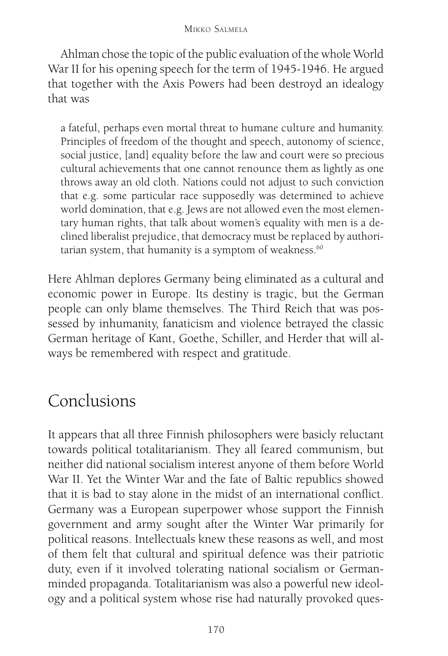#### MIKKO SALMELA

Ahlman chose the topic of the public evaluation of the whole World War II for his opening speech for the term of 1945-1946. He argued that together with the Axis Powers had been destroyd an idealogy that was

a fateful, perhaps even mortal threat to humane culture and humanity. Principles of freedom of the thought and speech, autonomy of science, social justice, [and] equality before the law and court were so precious cultural achievements that one cannot renounce them as lightly as one throws away an old cloth. Nations could not adjust to such conviction that e.g. some particular race supposedly was determined to achieve world domination, that e.g. Jews are not allowed even the most elementary human rights, that talk about women's equality with men is a declined liberalist prejudice, that democracy must be replaced by authoritarian system, that humanity is a symptom of weakness. $60$ 

Here Ahlman deplores Germany being eliminated as a cultural and economic power in Europe. Its destiny is tragic, but the German people can only blame themselves. The Third Reich that was possessed by inhumanity, fanaticism and violence betrayed the classic German heritage of Kant, Goethe, Schiller, and Herder that will always be remembered with respect and gratitude.

# Conclusions

It appears that all three Finnish philosophers were basicly reluctant towards political totalitarianism. They all feared communism, but neither did national socialism interest anyone of them before World War II. Yet the Winter War and the fate of Baltic republics showed that it is bad to stay alone in the midst of an international conflict. Germany was a European superpower whose support the Finnish government and army sought after the Winter War primarily for political reasons. Intellectuals knew these reasons as well, and most of them felt that cultural and spiritual defence was their patriotic duty, even if it involved tolerating national socialism or Germanminded propaganda. Totalitarianism was also a powerful new ideology and a political system whose rise had naturally provoked ques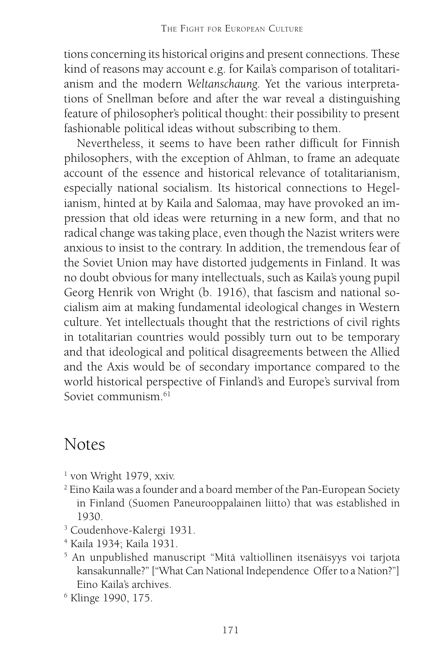tions concerning its historical origins and present connections. These kind of reasons may account e.g. for Kaila's comparison of totalitarianism and the modern *Weltanschaung.* Yet the various interpretations of Snellman before and after the war reveal a distinguishing feature of philosopher's political thought: their possibility to present fashionable political ideas without subscribing to them.

Nevertheless, it seems to have been rather difficult for Finnish philosophers, with the exception of Ahlman, to frame an adequate account of the essence and historical relevance of totalitarianism, especially national socialism. Its historical connections to Hegelianism, hinted at by Kaila and Salomaa, may have provoked an impression that old ideas were returning in a new form, and that no radical change was taking place, even though the Nazist writers were anxious to insist to the contrary. In addition, the tremendous fear of the Soviet Union may have distorted judgements in Finland. It was no doubt obvious for many intellectuals, such as Kaila's young pupil Georg Henrik von Wright (b. 1916), that fascism and national socialism aim at making fundamental ideological changes in Western culture. Yet intellectuals thought that the restrictions of civil rights in totalitarian countries would possibly turn out to be temporary and that ideological and political disagreements between the Allied and the Axis would be of secondary importance compared to the world historical perspective of Finland's and Europe's survival from Soviet communism  $61$ 

# Notes

- 1 von Wright 1979, xxiv.
- $^{\rm 2}$  Eino Kaila was a founder and a board member of the Pan-European Society in Finland (Suomen Paneurooppalainen liitto) that was established in 1930.
- 3 Coudenhove-Kalergi 1931.
- 4 Kaila 1934; Kaila 1931.
- 5 An unpublished manuscript "Mitä valtiollinen itsenäisyys voi tarjota kansakunnalle?" ["What Can National Independence Offer to a Nation?"] Eino Kaila's archives.
- 6 Klinge 1990, 175.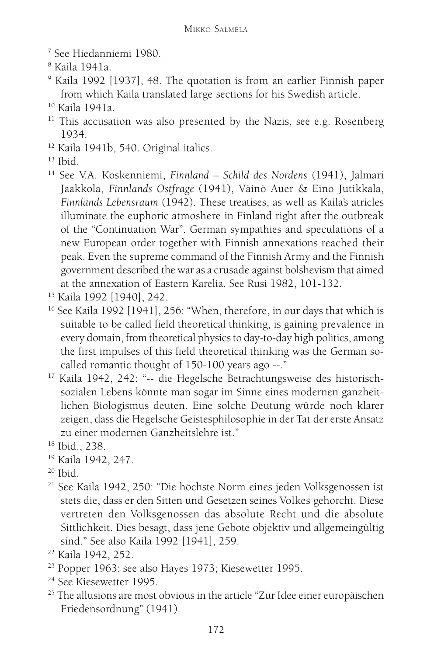- 7 See Hiedanniemi 1980.
- 8 Kaila 1941a.
- 9 Kaila 1992 [1937], 48. The quotation is from an earlier Finnish paper from which Kaila translated large sections for his Swedish article.

- <sup>11</sup> This accusation was also presented by the Nazis, see e.g. Rosenberg 1934.
- <sup>12</sup> Kaila 1941b, 540. Original italics.

- 14 See V.A. Koskenniemi, *Finnland Schild des Nordens* (1941), Jalmari Jaakkola, *Finnlands Ostfrage* (1941), Väinö Auer & Eino Jutikkala, *Finnlands Lebensraum* (1942). These treatises, as well as Kaila's atricles illuminate the euphoric atmoshere in Finland right after the outbreak of the "Continuation War". German sympathies and speculations of a new European order together with Finnish annexations reached their peak. Even the supreme command of the Finnish Army and the Finnish government described the war as a crusade against bolshevism that aimed at the annexation of Eastern Karelia. See Rusi 1982, 101-132.
- 15 Kaila 1992 [1940], 242.
- <sup>16</sup> See Kaila 1992 [1941], 256: "When, therefore, in our days that which is suitable to be called field theoretical thinking, is gaining prevalence in every domain, from theoretical physics to day-to-day high politics, among the first impulses of this field theoretical thinking was the German socalled romantic thought of 150-100 years ago --."
- 17 Kaila 1942, 242: "-- die Hegelsche Betrachtungsweise des historischsozialen Lebens könnte man sogar im Sinne eines modernen ganzheitlichen Biologismus deuten. Eine solche Deutung würde noch klarer zeigen, dass die Hegelsche Geistesphilosophie in der Tat der erste Ansatz zu einer modernen Ganzheitslehre ist."
- 18 Ibid., 238.
- 19 Kaila 1942, 247.
- $20$  Ibid.
- 21 See Kaila 1942, 250: "Die höchste Norm eines jeden Volksgenossen ist stets die, dass er den Sitten und Gesetzen seines Volkes gehorcht. Diese vertreten den Volksgenossen das absolute Recht und die absolute Sittlichkeit. Dies besagt, dass jene Gebote objektiv und allgemeingültig sind." See also Kaila 1992 [1941], 259.

- 23 Popper 1963; see also Hayes 1973; Kiesewetter 1995.
- <sup>24</sup> See Kiesewetter 1995.
- <sup>25</sup> The allusions are most obvious in the article "Zur Idee einer europäischen Friedensordnung" (1941).

<sup>10</sup> Kaila 1941a.

 $13$  Ibid.

<sup>22</sup> Kaila 1942, 252.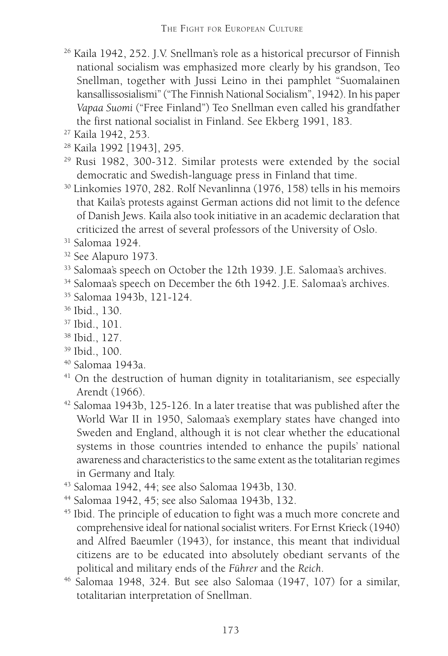- 26 Kaila 1942, 252. J.V. Snellman's role as a historical precursor of Finnish national socialism was emphasized more clearly by his grandson, Teo Snellman, together with Jussi Leino in thei pamphlet "Suomalainen kansallissosialismi" ("The Finnish National Socialism", 1942). In his paper *Vapaa Suomi* ("Free Finland") Teo Snellman even called his grandfather the first national socialist in Finland. See Ekberg 1991, 183.
- 27 Kaila 1942, 253.
- 28 Kaila 1992 [1943], 295.
- 29 Rusi 1982, 300-312. Similar protests were extended by the social democratic and Swedish-language press in Finland that time.
- 30 Linkomies 1970, 282. Rolf Nevanlinna (1976, 158) tells in his memoirs that Kaila's protests against German actions did not limit to the defence of Danish Jews. Kaila also took initiative in an academic declaration that criticized the arrest of several professors of the University of Oslo.
- 31 Salomaa 1924.
- 32 See Alapuro 1973.
- <sup>33</sup> Salomaa's speech on October the 12th 1939. J.E. Salomaa's archives.
- <sup>34</sup> Salomaa's speech on December the 6th 1942. J.E. Salomaa's archives.
- 35 Salomaa 1943b, 121-124.
- 36 Ibid., 130.
- 37 Ibid., 101.
- 38 Ibid., 127.
- 39 Ibid., 100.
- 40 Salomaa 1943a.
- <sup>41</sup> On the destruction of human dignity in totalitarianism, see especially Arendt (1966).
- 42 Salomaa 1943b, 125-126. In a later treatise that was published after the World War II in 1950, Salomaa's exemplary states have changed into Sweden and England, although it is not clear whether the educational systems in those countries intended to enhance the pupils' national awareness and characteristics to the same extent as the totalitarian regimes in Germany and Italy.
- 43 Salomaa 1942, 44; see also Salomaa 1943b, 130.
- 44 Salomaa 1942, 45; see also Salomaa 1943b, 132.
- 45 Ibid. The principle of education to fight was a much more concrete and comprehensive ideal for national socialist writers. For Ernst Krieck (1940) and Alfred Baeumler (1943), for instance, this meant that individual citizens are to be educated into absolutely obediant servants of the political and military ends of the *Führer* and the *Reich*.
- 46 Salomaa 1948, 324. But see also Salomaa (1947, 107) for a similar, totalitarian interpretation of Snellman.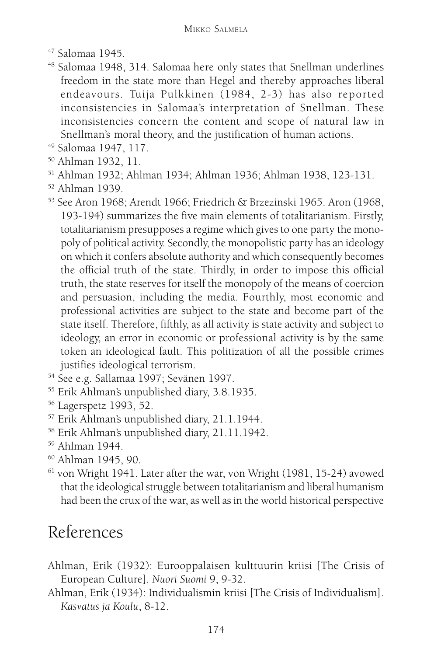- 47 Salomaa 1945.
- 48 Salomaa 1948, 314. Salomaa here only states that Snellman underlines freedom in the state more than Hegel and thereby approaches liberal endeavours. Tuija Pulkkinen (1984, 2-3) has also reported inconsistencies in Salomaa's interpretation of Snellman. These inconsistencies concern the content and scope of natural law in Snellman's moral theory, and the justification of human actions.
- 49 Salomaa 1947, 117.
- 50 Ahlman 1932, 11.
- 51 Ahlman 1932; Ahlman 1934; Ahlman 1936; Ahlman 1938, 123-131.
- 52 Ahlman 1939.
- 53 See Aron 1968; Arendt 1966; Friedrich & Brzezinski 1965. Aron (1968, 193-194) summarizes the five main elements of totalitarianism. Firstly, totalitarianism presupposes a regime which gives to one party the monopoly of political activity. Secondly, the monopolistic party has an ideology on which it confers absolute authority and which consequently becomes the official truth of the state. Thirdly, in order to impose this official truth, the state reserves for itself the monopoly of the means of coercion and persuasion, including the media. Fourthly, most economic and professional activities are subject to the state and become part of the state itself. Therefore, fifthly, as all activity is state activity and subject to ideology, an error in economic or professional activity is by the same token an ideological fault. This politization of all the possible crimes justifies ideological terrorism.
- 54 See e.g. Sallamaa 1997; Sevänen 1997.
- 55 Erik Ahlman's unpublished diary, 3.8.1935.
- 56 Lagerspetz 1993, 52.
- 57 Erik Ahlman's unpublished diary, 21.1.1944.
- 58 Erik Ahlman's unpublished diary, 21.11.1942.
- 59 Ahlman 1944.
- 60 Ahlman 1945, 90.
- 61 von Wright 1941. Later after the war, von Wright (1981, 15-24) avowed that the ideological struggle between totalitarianism and liberal humanism had been the crux of the war, as well as in the world historical perspective

# References

- Ahlman, Erik (1932): Eurooppalaisen kulttuurin kriisi [The Crisis of European Culture]. *Nuori Suomi* 9, 9-32.
- Ahlman, Erik (1934): Individualismin kriisi [The Crisis of Individualism]. *Kasvatus ja Koulu*, 8-12.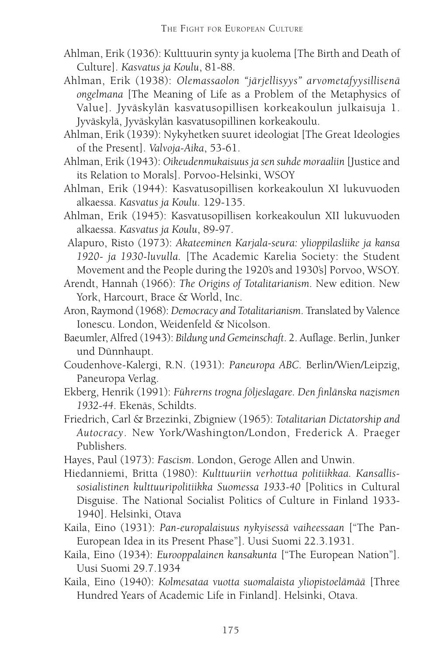- Ahlman, Erik (1936): Kulttuurin synty ja kuolema [The Birth and Death of Culture]. *Kasvatus ja Koulu*, 81-88.
- Ahlman, Erik (1938): *Olemassaolon "järjellisyys" arvometafyysillisenä ongelmana* [The Meaning of Life as a Problem of the Metaphysics of Value]. Jyväskylän kasvatusopillisen korkeakoulun julkaisuja 1. Jyväskylä, Jyväskylän kasvatusopillinen korkeakoulu.
- Ahlman, Erik (1939): Nykyhetken suuret ideologiat [The Great Ideologies of the Present]. *Valvoja-Aika*, 53-61.
- Ahlman, Erik (1943): *Oikeudenmukaisuus ja sen suhde moraaliin* [Justice and its Relation to Morals]. Porvoo-Helsinki, WSOY
- Ahlman, Erik (1944): Kasvatusopillisen korkeakoulun XI lukuvuoden alkaessa. *Kasvatus ja Koulu*. 129-135.
- Ahlman, Erik (1945): Kasvatusopillisen korkeakoulun XII lukuvuoden alkaessa. *Kasvatus ja Koulu*, 89-97.
- Alapuro, Risto (1973): *Akateeminen Karjala-seura: ylioppilasliike ja kansa 1920- ja 1930-luvulla.* [The Academic Karelia Society: the Student Movement and the People during the 1920's and 1930's] Porvoo, WSOY.
- Arendt, Hannah (1966): *The Origins of Totalitarianism*. New edition. New York, Harcourt, Brace & World, Inc.
- Aron, Raymond (1968): *Democracy and Totalitarianism*. Translated by Valence Ionescu. London, Weidenfeld & Nicolson.
- Baeumler, Alfred (1943): *Bildung und Gemeinschaft*. 2. Auflage. Berlin, Junker und Dünnhaupt.
- Coudenhove-Kalergi, R.N. (1931): *Paneuropa ABC*. Berlin/Wien/Leipzig, Paneuropa Verlag.
- Ekberg, Henrik (1991): *Führerns trogna följeslagare. Den finlänska nazismen 1932-44*. Ekenäs, Schildts.
- Friedrich, Carl & Brzezinki, Zbigniew (1965): *Totalitarian Dictatorship and Autocracy*. New York/Washington/London, Frederick A. Praeger Publishers.
- Hayes, Paul (1973): *Fascism*. London, Geroge Allen and Unwin.
- Hiedanniemi, Britta (1980): *Kulttuuriin verhottua politiikkaa. Kansallissosialistinen kulttuuripolitiikka Suomessa 1933-40* [Politics in Cultural Disguise. The National Socialist Politics of Culture in Finland 1933- 1940]. Helsinki, Otava
- Kaila, Eino (1931): *Pan-europalaisuus nykyisessä vaiheessaan* ["The Pan-European Idea in its Present Phase"]. Uusi Suomi 22.3.1931.
- Kaila, Eino (1934): *Eurooppalainen kansakunta* ["The European Nation"]. Uusi Suomi 29.7.1934
- Kaila, Eino (1940): *Kolmesataa vuotta suomalaista yliopistoelämää* [Three Hundred Years of Academic Life in Finland]. Helsinki, Otava.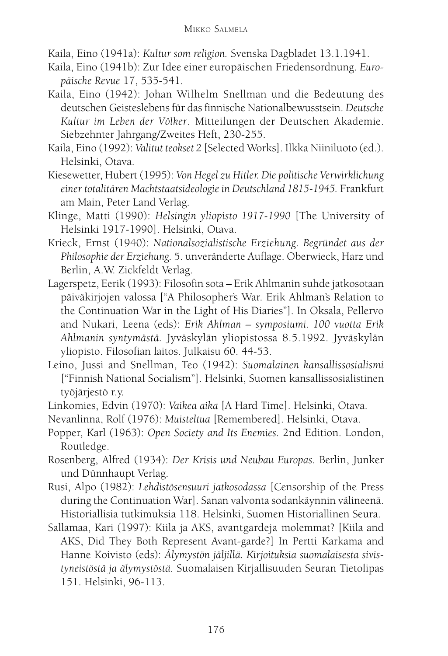Kaila, Eino (1941a): *Kultur som religion.* Svenska Dagbladet 13.1.1941.

- Kaila, Eino (1941b): Zur Idee einer europäischen Friedensordnung. *Europäische Revue* 17, 535-541.
- Kaila, Eino (1942): Johan Wilhelm Snellman und die Bedeutung des deutschen Geisteslebens für das finnische Nationalbewusstsein. *Deutsche Kultur im Leben der Völker*. Mitteilungen der Deutschen Akademie. Siebzehnter Jahrgang/Zweites Heft, 230-255.
- Kaila, Eino (1992): *Valitut teokset 2* [Selected Works]. Ilkka Niiniluoto (ed.). Helsinki, Otava.
- Kiesewetter, Hubert (1995): *Von Hegel zu Hitler. Die politische Verwirklichung einer totalitären Machtstaatsideologie in Deutschland 1815-1945.* Frankfurt am Main, Peter Land Verlag.
- Klinge, Matti (1990): *Helsingin yliopisto 1917-1990* [The University of Helsinki 1917-1990]. Helsinki, Otava.
- Krieck, Ernst (1940): *Nationalsozialistische Erziehung. Begründet aus der Philosophie der Erziehung.* 5. unveränderte Auflage. Oberwieck, Harz und Berlin, A.W. Zickfeldt Verlag.
- Lagerspetz, Eerik (1993): Filosofin sota Erik Ahlmanin suhde jatkosotaan päiväkirjojen valossa ["A Philosopher's War. Erik Ahlman's Relation to the Continuation War in the Light of His Diaries"]. In Oksala, Pellervo and Nukari, Leena (eds): *Erik Ahlman – symposiumi. 100 vuotta Erik Ahlmanin syntymästä.* Jyväskylän yliopistossa 8.5.1992. Jyväskylän yliopisto. Filosofian laitos. Julkaisu 60. 44-53.
- Leino, Jussi and Snellman, Teo (1942): *Suomalainen kansallissosialismi* ["Finnish National Socialism"]. Helsinki, Suomen kansallissosialistinen työjärjestö r.y.
- Linkomies, Edvin (1970): *Vaikea aika* [A Hard Time]. Helsinki, Otava.
- Nevanlinna, Rolf (1976): *Muisteltua* [Remembered]. Helsinki, Otava.
- Popper, Karl (1963): *Open Society and Its Enemies*. 2nd Edition. London, Routledge.
- Rosenberg, Alfred (1934): *Der Krisis und Neubau Europas*. Berlin, Junker und Dünnhaupt Verlag.
- Rusi, Alpo (1982): *Lehdistösensuuri jatkosodassa* [Censorship of the Press during the Continuation War]. Sanan valvonta sodankäynnin välineenä. Historiallisia tutkimuksia 118. Helsinki, Suomen Historiallinen Seura.
- Sallamaa, Kari (1997): Kiila ja AKS, avantgardeja molemmat? [Kiila and AKS, Did They Both Represent Avant-garde?] In Pertti Karkama and Hanne Koivisto (eds): *Älymystön jäljillä. Kirjoituksia suomalaisesta sivistyneistöstä ja älymystöstä.* Suomalaisen Kirjallisuuden Seuran Tietolipas 151. Helsinki, 96-113.